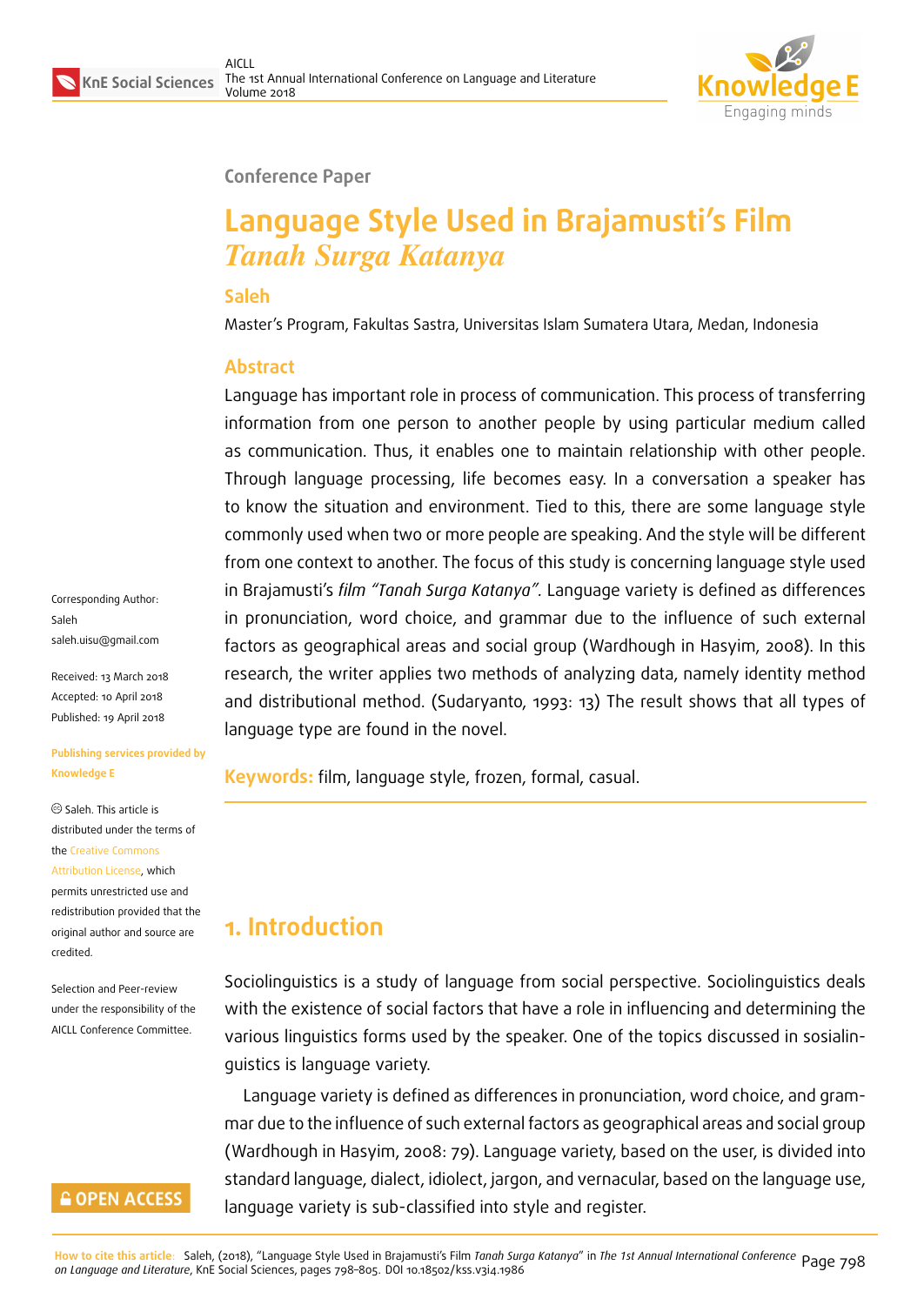

#### **Conference Paper**

# **Language Style Used in Brajamusti's Film** *Tanah Surga Katanya*

#### **Saleh**

Master's Program, Fakultas Sastra, Universitas Islam Sumatera Utara, Medan, Indonesia

#### **Abstract**

Language has important role in process of communication. This process of transferring information from one person to another people by using particular medium called as communication. Thus, it enables one to maintain relationship with other people. Through language processing, life becomes easy. In a conversation a speaker has to know the situation and environment. Tied to this, there are some language style commonly used when two or more people are speaking. And the style will be different from one context to another. The focus of this study is concerning language style used in Brajamusti's *film "Tanah Surga Katanya".* Language variety is defined as differences in pronunciation, word choice, and grammar due to the influence of such external factors as geographical areas and social group (Wardhough in Hasyim, 2008). In this research, the writer applies two methods of analyzing data, namely identity method and distributional method. (Sudaryanto, 1993: 13) The result shows that all types of language type are found in the novel.

**Keywords:** film, language style, frozen, formal, casual.

## **1. Introduction**

Sociolinguistics is a study of language from social perspective. Sociolinguistics deals with the existence of social factors that have a role in influencing and determining the various linguistics forms used by the speaker. One of the topics discussed in sosialinguistics is language variety.

Language variety is defined as differences in pronunciation, word choice, and grammar due to the influence of such external factors as geographical areas and social group (Wardhough in Hasyim, 2008: 79). Language variety, based on the user, is divided into standard language, dialect, idiolect, jargon, and vernacular, based on the language use, language variety is sub-classified into style and register.

Corresponding Author: Saleh saleh.uisu@gmail.com

Received: 13 March 2018 Accepted: 10 April 2018 [Published: 19 April 2018](mailto:saleh.uisu@gmail.com)

**Publishing services provided by Knowledge E**

Saleh. This article is distributed under the terms of the Creative Commons Attribution License, which permits unrestricted use and

redistribution provided that the ori[ginal author and sou](https://creativecommons.org/licenses/by/4.0/)rce are [credited.](https://creativecommons.org/licenses/by/4.0/)

Selection and Peer-review under the responsibility of the AICLL Conference Committee.

### **GOPEN ACCESS**

<mark>How to cite this article</mark>: Saleh, (2018), "Language Style Used in Brajamusti's Film *Tanah Surga Katanya"* in *The 1st Annual International Conference* Page 798<br>*on Language and Literature,* KnE Social Sciences, page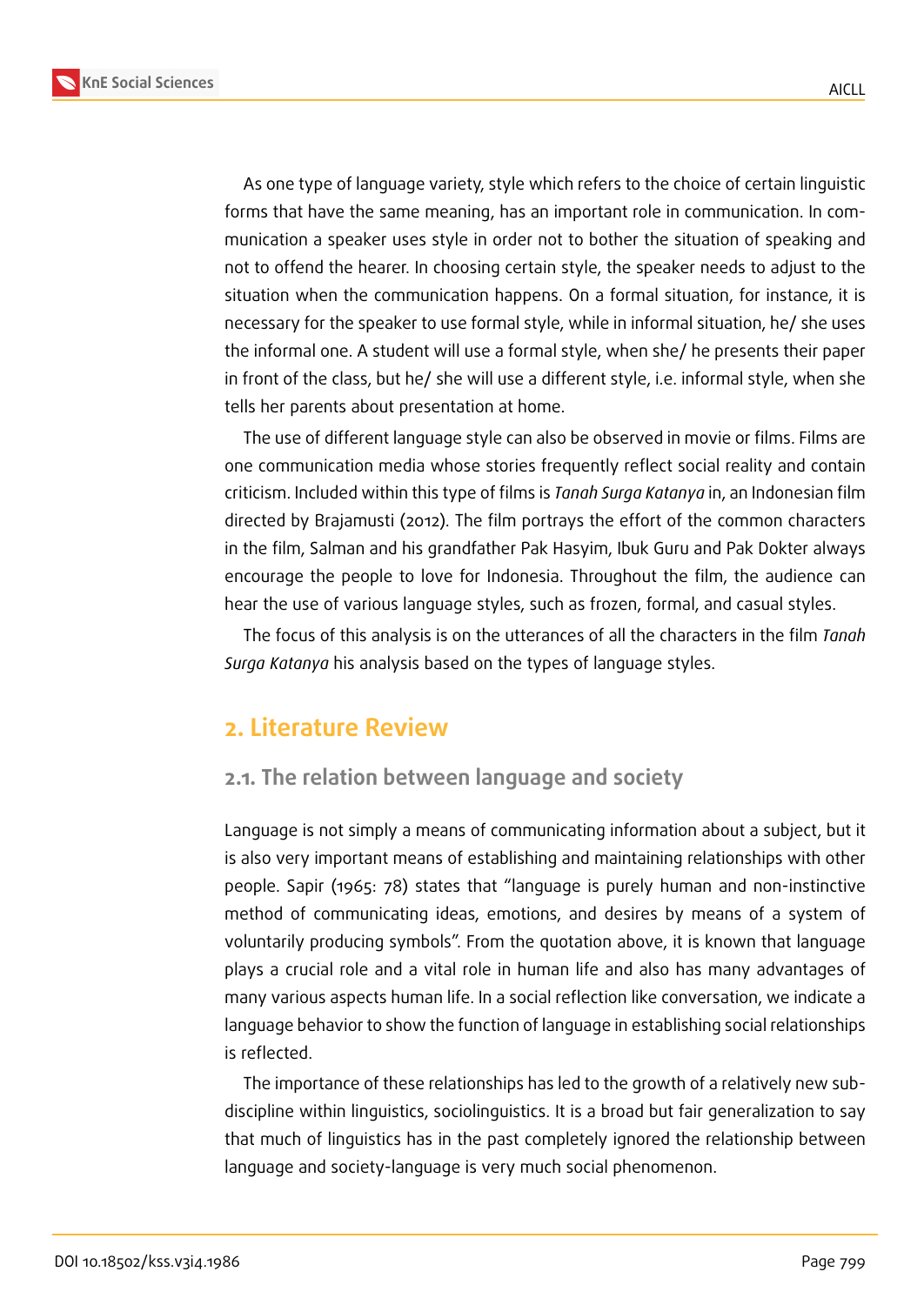**KnE Social Sciences**



As one type of language variety, style which refers to the choice of certain linguistic forms that have the same meaning, has an important role in communication. In communication a speaker uses style in order not to bother the situation of speaking and not to offend the hearer. In choosing certain style, the speaker needs to adjust to the situation when the communication happens. On a formal situation, for instance, it is necessary for the speaker to use formal style, while in informal situation, he/ she uses the informal one. A student will use a formal style, when she/ he presents their paper in front of the class, but he/ she will use a different style, i.e. informal style, when she tells her parents about presentation at home.

The use of different language style can also be observed in movie or films. Films are one communication media whose stories frequently reflect social reality and contain criticism. Included within this type of films is *Tanah Surga Katanya* in, an Indonesian film directed by Brajamusti (2012). The film portrays the effort of the common characters in the film, Salman and his grandfather Pak Hasyim, Ibuk Guru and Pak Dokter always encourage the people to love for Indonesia. Throughout the film, the audience can hear the use of various language styles, such as frozen, formal, and casual styles.

The focus of this analysis is on the utterances of all the characters in the film *Tanah Surga Katanya* his analysis based on the types of language styles.

## **2. Literature Review**

### **2.1. The relation between language and society**

Language is not simply a means of communicating information about a subject, but it is also very important means of establishing and maintaining relationships with other people. Sapir (1965: 78) states that "language is purely human and non-instinctive method of communicating ideas, emotions, and desires by means of a system of voluntarily producing symbols". From the quotation above, it is known that language plays a crucial role and a vital role in human life and also has many advantages of many various aspects human life. In a social reflection like conversation, we indicate a language behavior to show the function of language in establishing social relationships is reflected.

The importance of these relationships has led to the growth of a relatively new subdiscipline within linguistics, sociolinguistics. It is a broad but fair generalization to say that much of linguistics has in the past completely ignored the relationship between language and society-language is very much social phenomenon.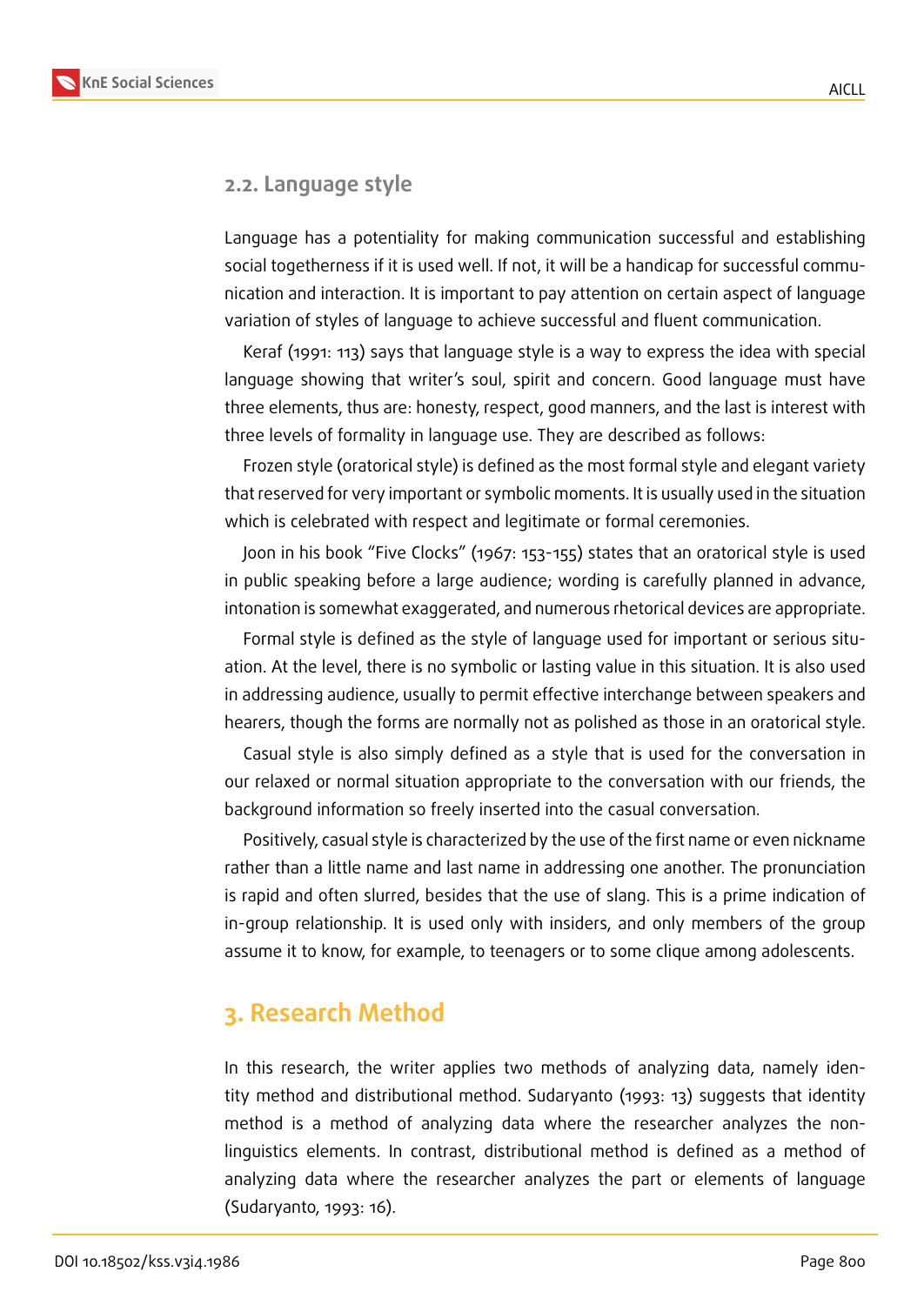

#### **2.2. Language style**

Language has a potentiality for making communication successful and establishing social togetherness if it is used well. If not, it will be a handicap for successful communication and interaction. It is important to pay attention on certain aspect of language variation of styles of language to achieve successful and fluent communication.

Keraf (1991: 113) says that language style is a way to express the idea with special language showing that writer's soul, spirit and concern. Good language must have three elements, thus are: honesty, respect, good manners, and the last is interest with three levels of formality in language use. They are described as follows:

Frozen style (oratorical style) is defined as the most formal style and elegant variety that reserved for very important or symbolic moments. It is usually used in the situation which is celebrated with respect and legitimate or formal ceremonies.

Joon in his book "Five Clocks" (1967: 153-155) states that an oratorical style is used in public speaking before a large audience; wording is carefully planned in advance, intonation is somewhat exaggerated, and numerous rhetorical devices are appropriate.

Formal style is defined as the style of language used for important or serious situation. At the level, there is no symbolic or lasting value in this situation. It is also used in addressing audience, usually to permit effective interchange between speakers and hearers, though the forms are normally not as polished as those in an oratorical style.

Casual style is also simply defined as a style that is used for the conversation in our relaxed or normal situation appropriate to the conversation with our friends, the background information so freely inserted into the casual conversation.

Positively, casual style is characterized by the use of the first name or even nickname rather than a little name and last name in addressing one another. The pronunciation is rapid and often slurred, besides that the use of slang. This is a prime indication of in-group relationship. It is used only with insiders, and only members of the group assume it to know, for example, to teenagers or to some clique among adolescents.

## **3. Research Method**

In this research, the writer applies two methods of analyzing data, namely identity method and distributional method. Sudaryanto (1993: 13) suggests that identity method is a method of analyzing data where the researcher analyzes the nonlinguistics elements. In contrast, distributional method is defined as a method of analyzing data where the researcher analyzes the part or elements of language (Sudaryanto, 1993: 16).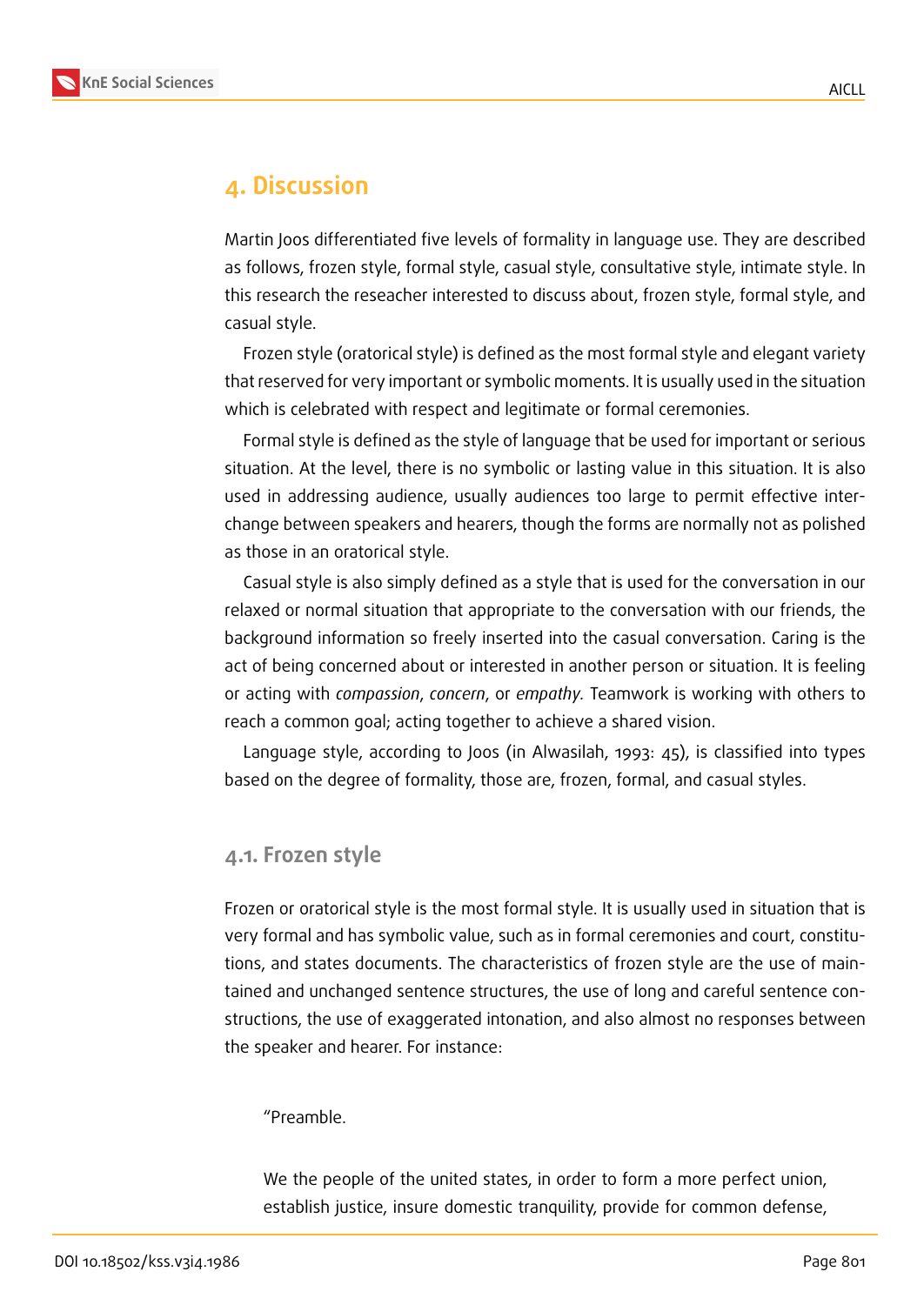

### **4. Discussion**

Martin Joos differentiated five levels of formality in language use. They are described as follows, frozen style, formal style, casual style, consultative style, intimate style. In this research the reseacher interested to discuss about, frozen style, formal style, and casual style.

Frozen style (oratorical style) is defined as the most formal style and elegant variety that reserved for very important or symbolic moments. It is usually used in the situation which is celebrated with respect and legitimate or formal ceremonies.

Formal style is defined as the style of language that be used for important or serious situation. At the level, there is no symbolic or lasting value in this situation. It is also used in addressing audience, usually audiences too large to permit effective interchange between speakers and hearers, though the forms are normally not as polished as those in an oratorical style.

Casual style is also simply defined as a style that is used for the conversation in our relaxed or normal situation that appropriate to the conversation with our friends, the background information so freely inserted into the casual conversation. Caring is the act of being concerned about or interested in another person or situation. It is feeling or acting with *compassion*, *concern*, or *empathy.* Teamwork is working with others to reach a common goal; acting together to achieve a shared vision.

Language style, according to Joos (in Alwasilah, 1993: 45), is classified into types based on the degree of formality, those are, frozen, formal, and casual styles.

#### **4.1. Frozen style**

Frozen or oratorical style is the most formal style. It is usually used in situation that is very formal and has symbolic value, such as in formal ceremonies and court, constitutions, and states documents. The characteristics of frozen style are the use of maintained and unchanged sentence structures, the use of long and careful sentence constructions, the use of exaggerated intonation, and also almost no responses between the speaker and hearer. For instance:

#### "Preamble.

We the people of the united states, in order to form a more perfect union, establish justice, insure domestic tranquility, provide for common defense,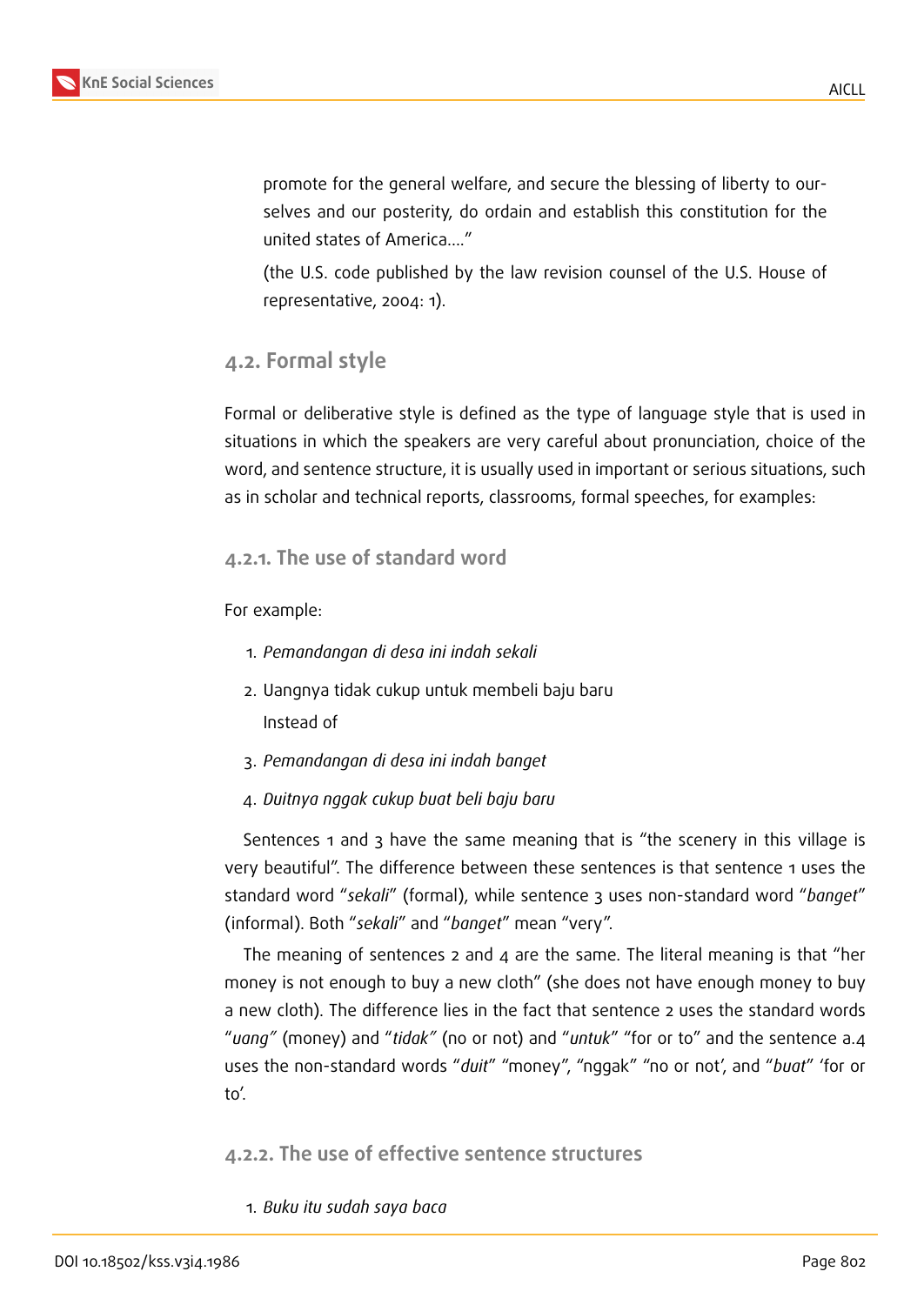

promote for the general welfare, and secure the blessing of liberty to ourselves and our posterity, do ordain and establish this constitution for the united states of America...."

(the U.S. code published by the law revision counsel of the U.S. House of representative, 2004: 1).

#### **4.2. Formal style**

Formal or deliberative style is defined as the type of language style that is used in situations in which the speakers are very careful about pronunciation, choice of the word, and sentence structure, it is usually used in important or serious situations, such as in scholar and technical reports, classrooms, formal speeches, for examples:

#### **4.2.1. The use of standard word**

For example:

- 1. *Pemandangan di desa ini indah sekali*
- 2. Uangnya tidak cukup untuk membeli baju baru Instead of
- 3. *Pemandangan di desa ini indah banget*
- 4. *Duitnya nggak cukup buat beli baju baru*

Sentences 1 and 3 have the same meaning that is "the scenery in this village is very beautiful". The difference between these sentences is that sentence 1 uses the standard word "*sekali*" (formal), while sentence 3 uses non-standard word "*banget*" (informal). Both "*sekali*" and "*banget*" mean "very".

The meaning of sentences 2 and 4 are the same. The literal meaning is that "her money is not enough to buy a new cloth" (she does not have enough money to buy a new cloth). The difference lies in the fact that sentence 2 uses the standard words "*uang"* (money) and "*tidak"* (no or not) and "*untuk*" "for or to" and the sentence a.4 uses the non-standard words "*duit*" "money", "nggak" "no or not', and "*buat*" 'for or to'.

**4.2.2. The use of effective sentence structures**

1. *Buku itu sudah saya baca*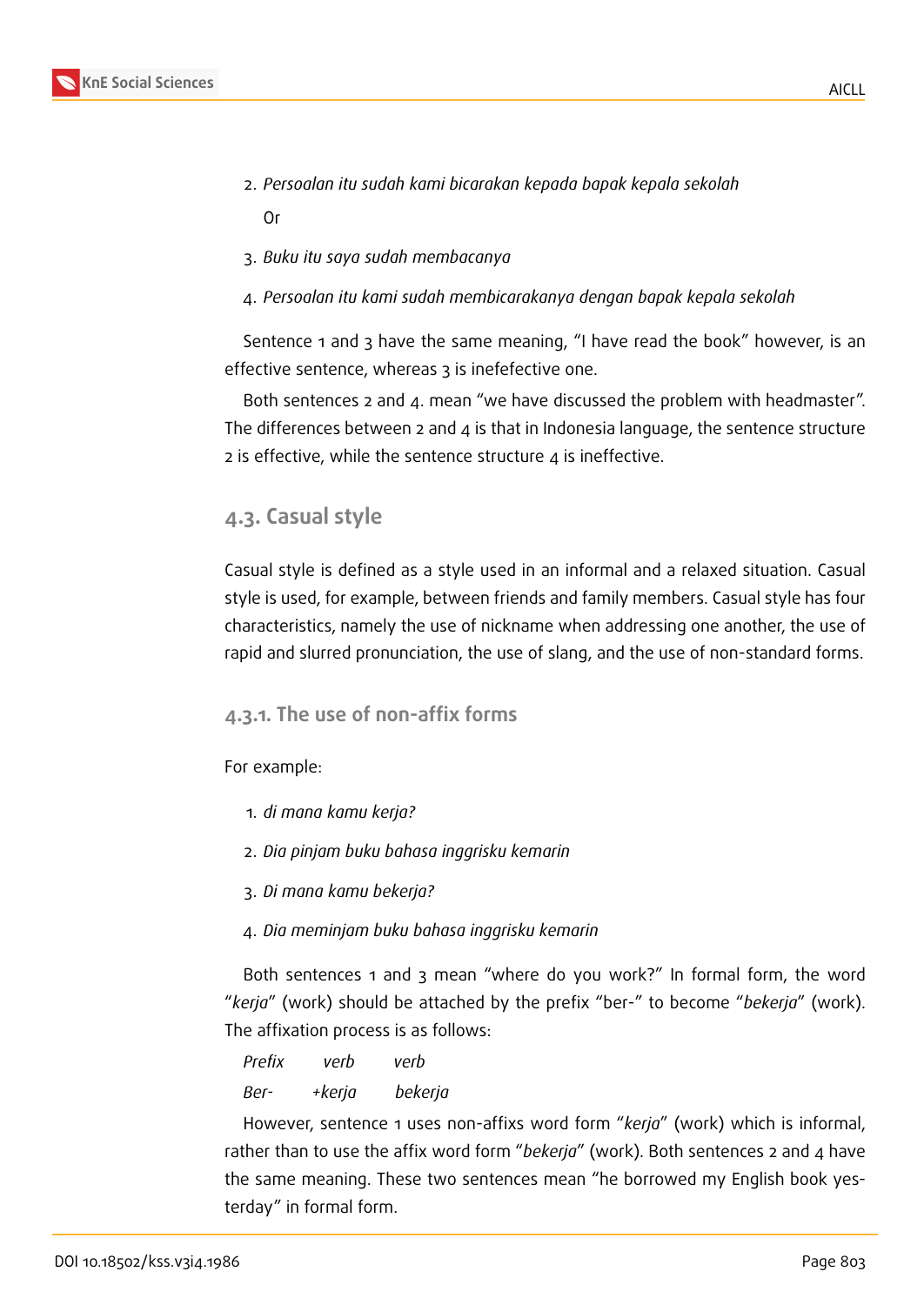- 2. *Persoalan itu sudah kami bicarakan kepada bapak kepala sekolah* Or
- 3. *Buku itu saya sudah membacanya*
- 4. *Persoalan itu kami sudah membicarakanya dengan bapak kepala sekolah*

Sentence 1 and 3 have the same meaning, "I have read the book" however, is an effective sentence, whereas 3 is inefefective one.

Both sentences 2 and 4. mean "we have discussed the problem with headmaster". The differences between 2 and 4 is that in Indonesia language, the sentence structure 2 is effective, while the sentence structure  $\alpha$  is ineffective.

### **4.3. Casual style**

Casual style is defined as a style used in an informal and a relaxed situation. Casual style is used, for example, between friends and family members. Casual style has four characteristics, namely the use of nickname when addressing one another, the use of rapid and slurred pronunciation, the use of slang, and the use of non-standard forms.

#### **4.3.1. The use of non-affix forms**

For example:

- 1. *di mana kamu kerja?*
- 2. *Dia pinjam buku bahasa inggrisku kemarin*
- 3. *Di mana kamu bekerja?*
- 4. *Dia meminjam buku bahasa inggrisku kemarin*

Both sentences 1 and 3 mean "where do you work?" In formal form, the word "*kerja*" (work) should be attached by the prefix "ber-" to become "*bekerja*" (work). The affixation process is as follows:

*Prefix verb verb Ber- +kerja bekerja*

However, sentence 1 uses non-affixs word form "*kerja*" (work) which is informal, rather than to use the affix word form "*bekerja*" (work). Both sentences 2 and 4 have the same meaning. These two sentences mean "he borrowed my English book yesterday" in formal form.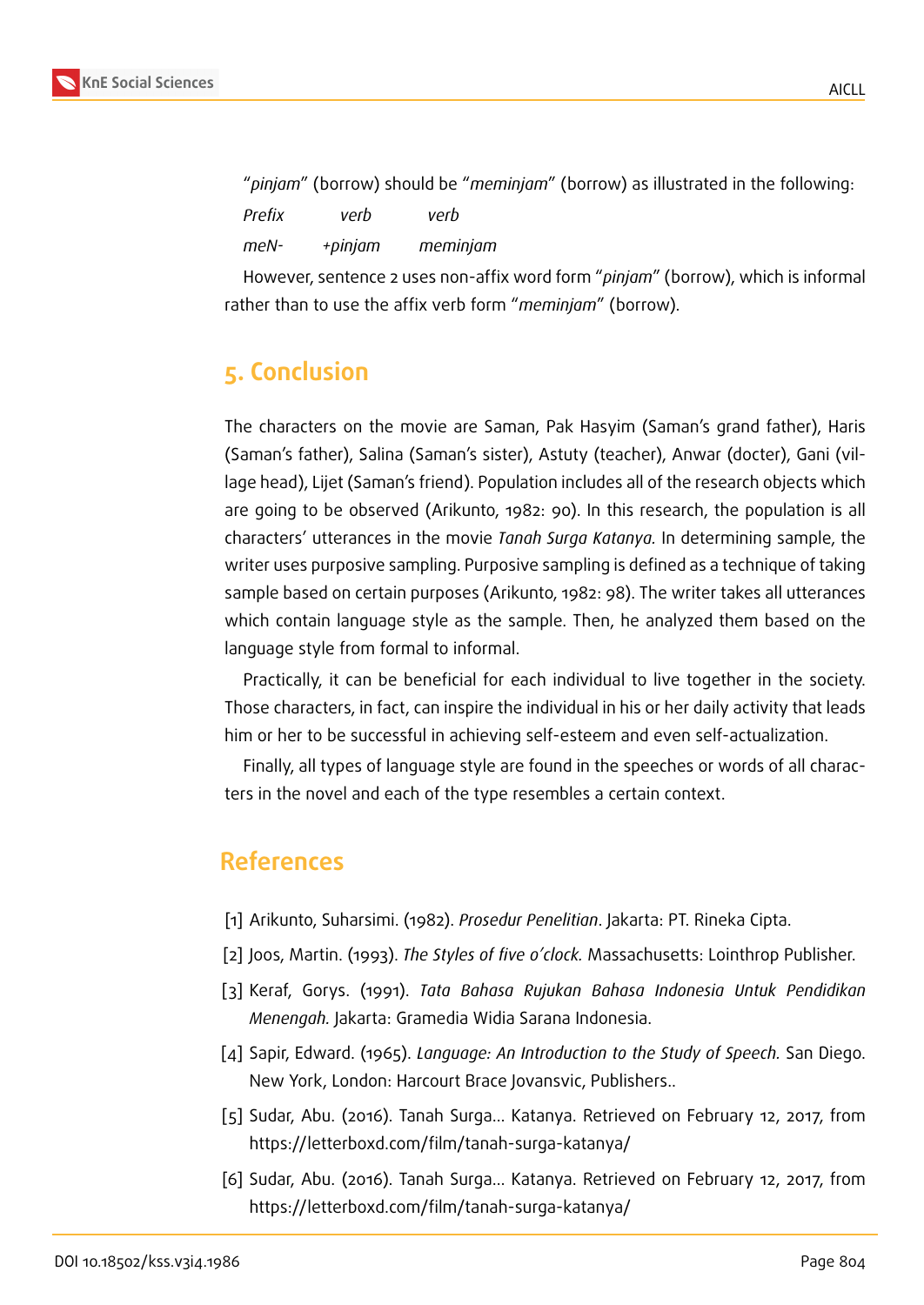

"*pinjam*" (borrow) should be "*meminjam*" (borrow) as illustrated in the following: *Prefix verb verb meN- +pinjam meminjam*

However, sentence 2 uses non-affix word form "*pinjam*" (borrow), which is informal rather than to use the affix verb form "*meminjam*" (borrow).

## **5. Conclusion**

The characters on the movie are Saman, Pak Hasyim (Saman's grand father), Haris (Saman's father), Salina (Saman's sister), Astuty (teacher), Anwar (docter), Gani (village head), Lijet (Saman's friend). Population includes all of the research objects which are going to be observed (Arikunto, 1982: 90). In this research, the population is all characters' utterances in the movie *Tanah Surga Katanya.* In determining sample, the writer uses purposive sampling. Purposive sampling is defined as a technique of taking sample based on certain purposes (Arikunto, 1982: 98). The writer takes all utterances which contain language style as the sample. Then, he analyzed them based on the language style from formal to informal.

Practically, it can be beneficial for each individual to live together in the society. Those characters, in fact, can inspire the individual in his or her daily activity that leads him or her to be successful in achieving self-esteem and even self-actualization.

Finally, all types of language style are found in the speeches or words of all characters in the novel and each of the type resembles a certain context.

## **References**

- [1] Arikunto, Suharsimi. (1982). *Prosedur Penelitian*. Jakarta: PT. Rineka Cipta.
- [2] Joos, Martin. (1993). *The Styles of five o'clock.* Massachusetts: Lointhrop Publisher.
- [3] Keraf, Gorys. (1991). *Tata Bahasa Rujukan Bahasa Indonesia Untuk Pendidikan Menengah.* Jakarta: Gramedia Widia Sarana Indonesia.
- [4] Sapir, Edward. (1965). *Language: An Introduction to the Study of Speech.* San Diego. New York, London: Harcourt Brace Jovansvic, Publishers..
- [5] Sudar, Abu. (2016). Tanah Surga… Katanya. Retrieved on February 12, 2017, from https://letterboxd.com/film/tanah-surga-katanya/
- [6] Sudar, Abu. (2016). Tanah Surga… Katanya. Retrieved on February 12, 2017, from https://letterboxd.com/film/tanah-surga-katanya/